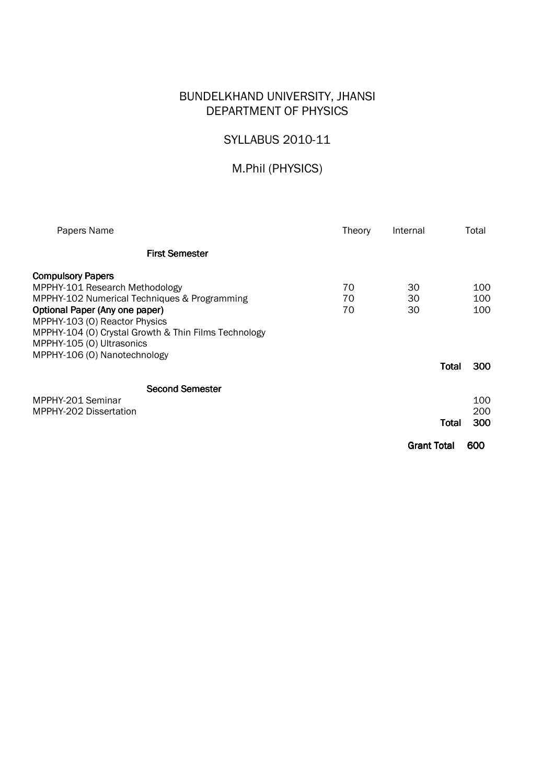# BUNDELKHAND UNIVERSITY, JHANSI DEPARTMENT OF PHYSICS

# SYLLABUS 2010-11

# M.Phil (PHYSICS)

| Papers Name                                                                                                                                                                                                                                                                                        |                        | Theory         | Internal           | Total                      |  |
|----------------------------------------------------------------------------------------------------------------------------------------------------------------------------------------------------------------------------------------------------------------------------------------------------|------------------------|----------------|--------------------|----------------------------|--|
|                                                                                                                                                                                                                                                                                                    | <b>First Semester</b>  |                |                    |                            |  |
| <b>Compulsory Papers</b><br>MPPHY-101 Research Methodology<br>MPPHY-102 Numerical Techniques & Programming<br>Optional Paper (Any one paper)<br>MPPHY-103 (0) Reactor Physics<br>MPPHY-104 (O) Crystal Growth & Thin Films Technology<br>MPPHY-105 (0) Ultrasonics<br>MPPHY-106 (O) Nanotechnology |                        | 70<br>70<br>70 | 30<br>30<br>30     | 100<br>100<br>100          |  |
|                                                                                                                                                                                                                                                                                                    |                        |                |                    | 300<br>Total               |  |
| MPPHY-201 Seminar<br>MPPHY-202 Dissertation                                                                                                                                                                                                                                                        | <b>Second Semester</b> |                |                    | 100<br>200<br>300<br>Total |  |
|                                                                                                                                                                                                                                                                                                    |                        |                | <b>Grant Total</b> | 600                        |  |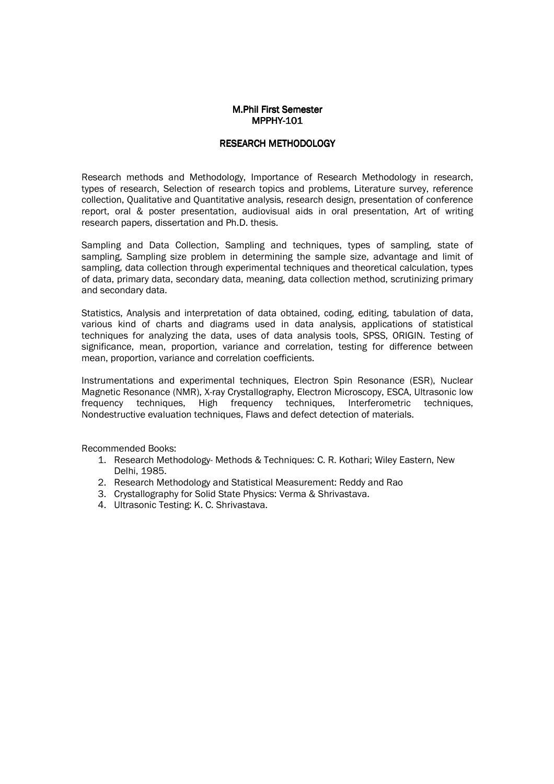## **M.Phil First Semester** MPPHY-101

#### RESEARCH METHODOLOGY RESEARCH METHODOLOGY

Research methods and Methodology, Importance of Research Methodology in research, types of research, Selection of research topics and problems, Literature survey, reference collection, Qualitative and Quantitative analysis, research design, presentation of conference report, oral & poster presentation, audiovisual aids in oral presentation, Art of writing research papers, dissertation and Ph.D. thesis.

Sampling and Data Collection, Sampling and techniques, types of sampling, state of sampling, Sampling size problem in determining the sample size, advantage and limit of sampling, data collection through experimental techniques and theoretical calculation, types of data, primary data, secondary data, meaning, data collection method, scrutinizing primary and secondary data.

Statistics, Analysis and interpretation of data obtained, coding, editing, tabulation of data, various kind of charts and diagrams used in data analysis, applications of statistical techniques for analyzing the data, uses of data analysis tools, SPSS, ORIGIN. Testing of significance, mean, proportion, variance and correlation, testing for difference between mean, proportion, variance and correlation coefficients.

Instrumentations and experimental techniques, Electron Spin Resonance (ESR), Nuclear Magnetic Resonance (NMR), X-ray Crystallography, Electron Microscopy, ESCA, Ultrasonic low frequency techniques, High frequency techniques, Interferometric techniques, Nondestructive evaluation techniques, Flaws and defect detection of materials.

- 1. Research Methodology- Methods & Techniques: C. R. Kothari; Wiley Eastern, New Delhi, 1985.
- 2. Research Methodology and Statistical Measurement: Reddy and Rao
- 3. Crystallography for Solid State Physics: Verma & Shrivastava.
- 4. Ultrasonic Testing: K. C. Shrivastava.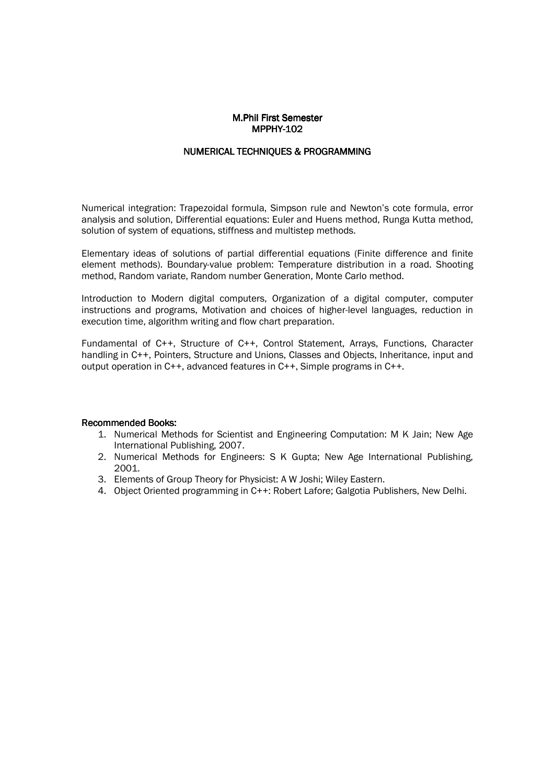# **M.Phil First Semester** MPPHY-102

#### NUMERICAL TECHNIOUES & PROGRAMMING

Numerical integration: Trapezoidal formula, Simpson rule and Newton's cote formula, error analysis and solution, Differential equations: Euler and Huens method, Runga Kutta method, solution of system of equations, stiffness and multistep methods.

Elementary ideas of solutions of partial differential equations (Finite difference and finite element methods). Boundary-value problem: Temperature distribution in a road. Shooting method, Random variate, Random number Generation, Monte Carlo method.

Introduction to Modern digital computers, Organization of a digital computer, computer instructions and programs, Motivation and choices of higher-level languages, reduction in execution time, algorithm writing and flow chart preparation.

Fundamental of C++, Structure of C++, Control Statement, Arrays, Functions, Character handling in C++, Pointers, Structure and Unions, Classes and Objects, Inheritance, input and output operation in C++, advanced features in C++, Simple programs in C++.

- 1. Numerical Methods for Scientist and Engineering Computation: M K Jain; New Age International Publishing, 2007.
- 2. Numerical Methods for Engineers: S K Gupta; New Age International Publishing, 2001.
- 3. Elements of Group Theory for Physicist: A W Joshi; Wiley Eastern.
- 4. Object Oriented programming in C++: Robert Lafore; Galgotia Publishers, New Delhi.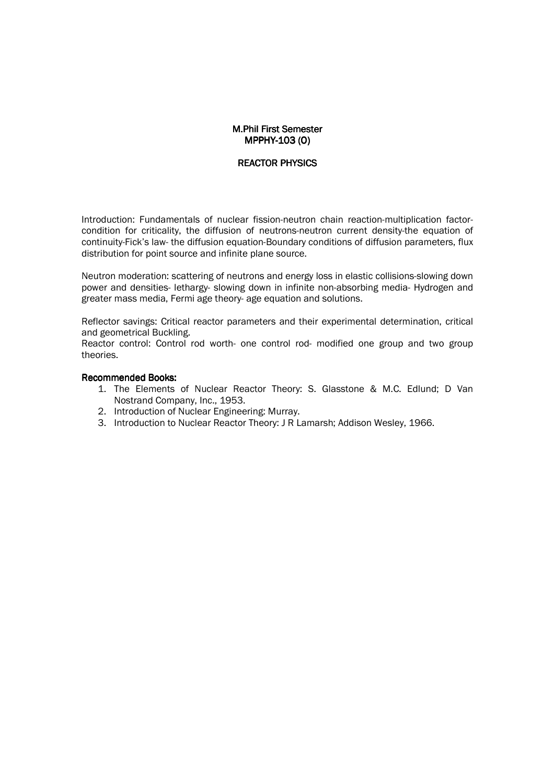# **M.Phil First Semester** MPPHY-103 (O)

## REACTOR PHYSICS

Introduction: Fundamentals of nuclear fission-neutron chain reaction-multiplication factorcondition for criticality, the diffusion of neutrons-neutron current density-the equation of continuity-Fick's law- the diffusion equation-Boundary conditions of diffusion parameters, flux distribution for point source and infinite plane source.

Neutron moderation: scattering of neutrons and energy loss in elastic collisions-slowing down power and densities- lethargy- slowing down in infinite non-absorbing media- Hydrogen and greater mass media, Fermi age theory- age equation and solutions.

Reflector savings: Critical reactor parameters and their experimental determination, critical and geometrical Buckling.

Reactor control: Control rod worth- one control rod- modified one group and two group theories.

- 1. The Elements of Nuclear Reactor Theory: S. Glasstone & M.C. Edlund; D Van Nostrand Company, Inc., 1953.
- 2. Introduction of Nuclear Engineering: Murray.
- 3. Introduction to Nuclear Reactor Theory: J R Lamarsh; Addison Wesley, 1966.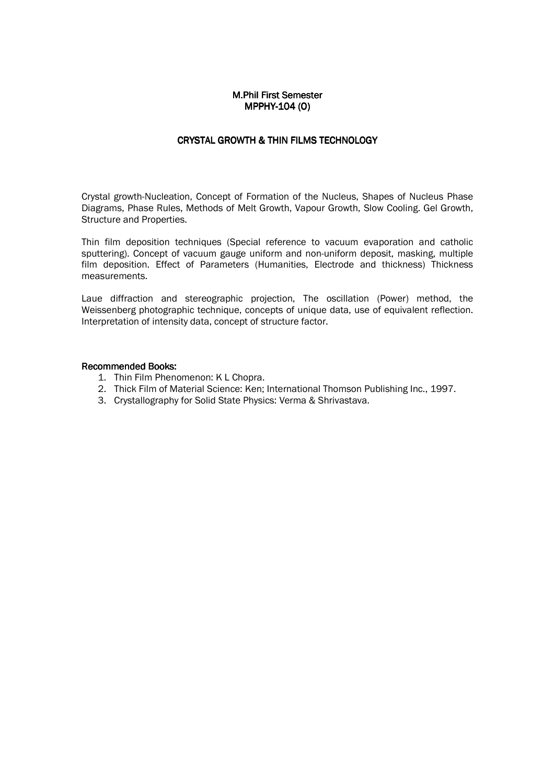#### M.Phil First Semester MPPHY-104 (0)

# CRYSTAL GROWTH & THIN FILMS TECHNOLOGY

Crystal growth-Nucleation, Concept of Formation of the Nucleus, Shapes of Nucleus Phase Diagrams, Phase Rules, Methods of Melt Growth, Vapour Growth, Slow Cooling. Gel Growth, Structure and Properties.

Thin film deposition techniques (Special reference to vacuum evaporation and catholic sputtering). Concept of vacuum gauge uniform and non-uniform deposit, masking, multiple film deposition. Effect of Parameters (Humanities, Electrode and thickness) Thickness measurements.

Laue diffraction and stereographic projection, The oscillation (Power) method, the Weissenberg photographic technique, concepts of unique data, use of equivalent reflection. Interpretation of intensity data, concept of structure factor.

- 1. Thin Film Phenomenon: K L Chopra.
- 2. Thick Film of Material Science: Ken; International Thomson Publishing Inc., 1997.
- 3. Crystallography for Solid State Physics: Verma & Shrivastava.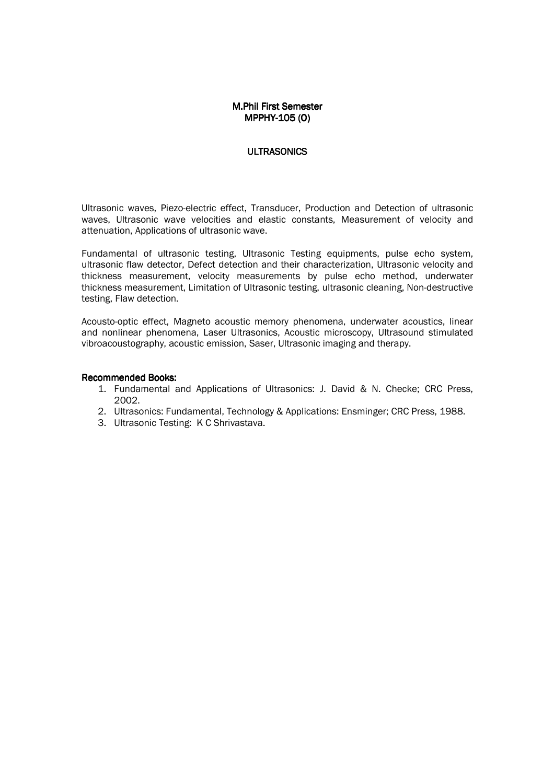# M.Phil First Semester MPPHY-105(O)

#### **ULTRASONICS**

Ultrasonic waves, Piezo-electric effect, Transducer, Production and Detection of ultrasonic waves, Ultrasonic wave velocities and elastic constants, Measurement of velocity and attenuation, Applications of ultrasonic wave.

Fundamental of ultrasonic testing, Ultrasonic Testing equipments, pulse echo system, ultrasonic flaw detector, Defect detection and their characterization, Ultrasonic velocity and thickness measurement, velocity measurements by pulse echo method, underwater thickness measurement, Limitation of Ultrasonic testing, ultrasonic cleaning, Non-destructive testing, Flaw detection.

Acousto-optic effect, Magneto acoustic memory phenomena, underwater acoustics, linear and nonlinear phenomena, Laser Ultrasonics, Acoustic microscopy, Ultrasound stimulated vibroacoustography, acoustic emission, Saser, Ultrasonic imaging and therapy.

- 1. Fundamental and Applications of Ultrasonics: J. David & N. Checke; CRC Press, 2002.
- 2. Ultrasonics: Fundamental, Technology & Applications: Ensminger; CRC Press, 1988.
- 3. Ultrasonic Testing: K C Shrivastava.